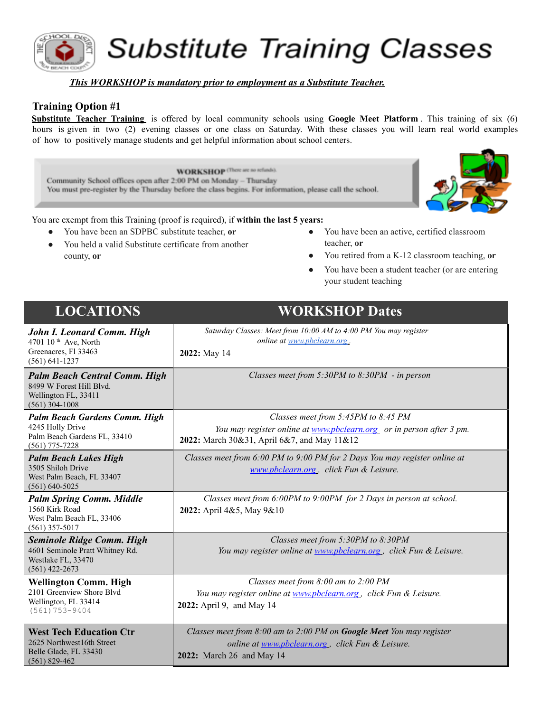

**Substitute Training Classes** 

#### *This WORKSHOP is mandatory prior to employment as a Substitute Teacher.*

#### **Training Option #1**

**Substitute Teacher Training** is offered by local community schools using **Google Meet Platform** . This training of six (6) hours is given in two (2) evening classes or one class on Saturday. With these classes you will learn real world examples of how to positively manage students and get helpful information about school centers.

**WORKSHOP** (There are no refunds). Community School offices open after 2:00 PM on Monday - Thursday You must pre-register by the Thursday before the class begins. For information, please call the school.



You are exempt from this Training (proof is required), if **within the last 5 years:**

- You have been an SDPBC substitute teacher, or
- You held a valid Substitute certificate from another county, **or**
- You have been an active, certified classroom teacher, **or**
- You retired from a K-12 classroom teaching, or
- You have been a student teacher (or are entering your student teaching

| <b>LOCATIONS</b>                                                                                              | <b>WORKSHOP Dates</b>                                                                                                                                      |
|---------------------------------------------------------------------------------------------------------------|------------------------------------------------------------------------------------------------------------------------------------------------------------|
| John I. Leonard Comm. High<br>4701 10 <sup>th</sup> Ave, North<br>Greenacres, Fl 33463<br>$(561) 641 - 1237$  | Saturday Classes: Meet from 10:00 AM to 4:00 PM You may register<br>online at www.pbclearn.org.<br>2022: May 14                                            |
| <b>Palm Beach Central Comm. High</b><br>8499 W Forest Hill Blyd.<br>Wellington FL, 33411<br>$(561)$ 304-1008  | Classes meet from $5:30PM$ to $8:30PM$ - in person                                                                                                         |
| <b>Palm Beach Gardens Comm. High</b><br>4245 Holly Drive<br>Palm Beach Gardens FL, 33410<br>$(561)$ 775-7228  | Classes meet from 5:45PM to 8:45 PM<br>You may register online at www.pbclearn.org or in person after 3 pm.<br>2022: March 30&31, April 6&7, and May 11&12 |
| <b>Palm Beach Lakes High</b><br>3505 Shiloh Drive<br>West Palm Beach, FL 33407<br>$(561)$ 640-5025            | Classes meet from 6:00 PM to 9:00 PM for 2 Days You may register online at<br>www.pbclearn.org, click Fun & Leisure.                                       |
| <b>Palm Spring Comm. Middle</b><br>1560 Kirk Road<br>West Palm Beach FL, 33406<br>$(561)$ 357-5017            | Classes meet from 6:00PM to 9:00PM for 2 Days in person at school.<br>2022: April 4&5, May 9&10                                                            |
| <b>Seminole Ridge Comm. High</b><br>4601 Seminole Pratt Whitney Rd.<br>Westlake FL, 33470<br>$(561)$ 422-2673 | Classes meet from 5:30PM to 8:30PM<br>You may register online at www.pbclearn.org., click Fun & Leisure.                                                   |
| <b>Wellington Comm. High</b><br>2101 Greenview Shore Blvd<br>Wellington, FL 33414<br>$(561) 753 - 9404$       | Classes meet from 8:00 am to 2:00 PM<br>You may register online at www.pbclearn.org, click Fun & Leisure.<br>2022: April 9, and May 14                     |
| <b>West Tech Education Ctr</b><br>2625 Northwest16th Street<br>Belle Glade, FL 33430<br>$(561) 829 - 462$     | Classes meet from 8:00 am to 2:00 PM on Google Meet You may register<br>online at www.pbclearn.org, click Fun & Leisure.<br>2022: March 26 and May 14      |